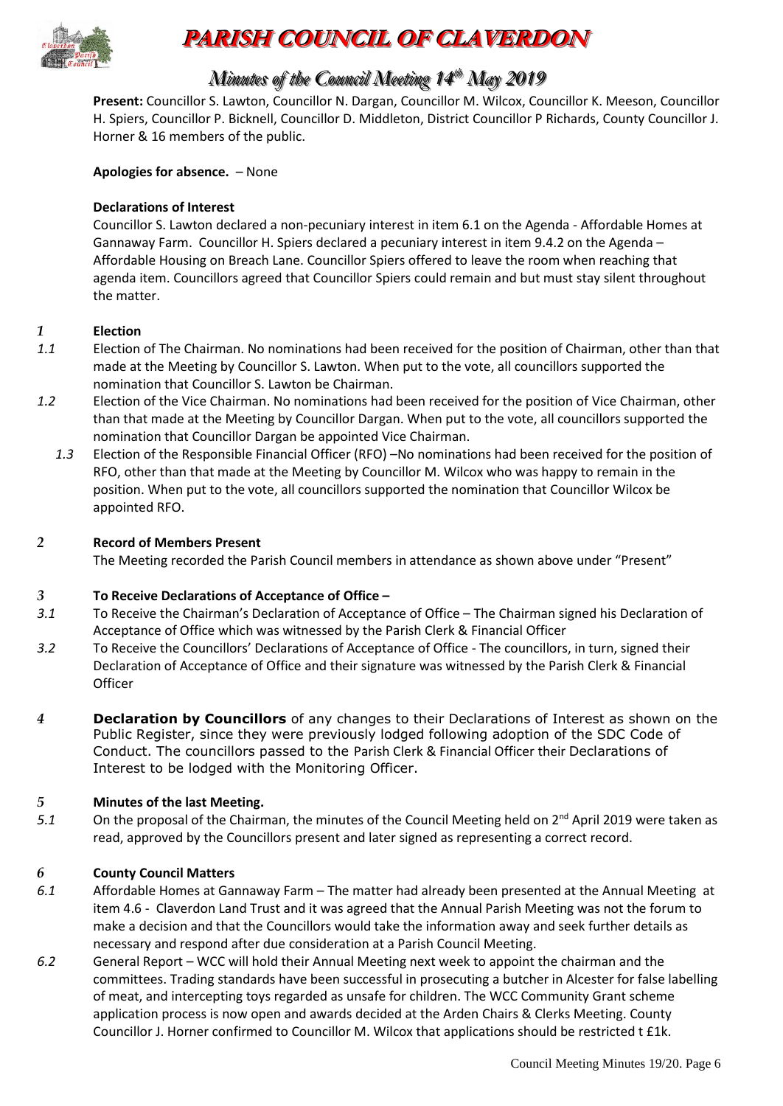

# **PARISH COUNCIL OF CLAVERDON**

# *Minutes of the Council Meeting 14 t thh May 2019*

**Present:** Councillor S. Lawton, Councillor N. Dargan, Councillor M. Wilcox, Councillor K. Meeson, Councillor H. Spiers, Councillor P. Bicknell, Councillor D. Middleton, District Councillor P Richards, County Councillor J. Horner & 16 members of the public.

#### **Apologies for absence.** – None

#### **Declarations of Interest**

Councillor S. Lawton declared a non-pecuniary interest in item 6.1 on the Agenda - Affordable Homes at Gannaway Farm. Councillor H. Spiers declared a pecuniary interest in item 9.4.2 on the Agenda – Affordable Housing on Breach Lane. Councillor Spiers offered to leave the room when reaching that agenda item. Councillors agreed that Councillor Spiers could remain and but must stay silent throughout the matter.

#### *1* **Election**

- *1.1* Election of The Chairman. No nominations had been received for the position of Chairman, other than that made at the Meeting by Councillor S. Lawton. When put to the vote, all councillors supported the nomination that Councillor S. Lawton be Chairman.
- *1.2* Election of the Vice Chairman. No nominations had been received for the position of Vice Chairman, other than that made at the Meeting by Councillor Dargan. When put to the vote, all councillors supported the nomination that Councillor Dargan be appointed Vice Chairman.
	- *1.3* Election of the Responsible Financial Officer (RFO) –No nominations had been received for the position of RFO, other than that made at the Meeting by Councillor M. Wilcox who was happy to remain in the position. When put to the vote, all councillors supported the nomination that Councillor Wilcox be appointed RFO.

#### *2* **Record of Members Present**

The Meeting recorded the Parish Council members in attendance as shown above under "Present"

#### *3* **To Receive Declarations of Acceptance of Office –**

- *3.1* To Receive the Chairman's Declaration of Acceptance of Office The Chairman signed his Declaration of Acceptance of Office which was witnessed by the Parish Clerk & Financial Officer
- *3.2* To Receive the Councillors' Declarations of Acceptance of Office The councillors, in turn, signed their Declaration of Acceptance of Office and their signature was witnessed by the Parish Clerk & Financial **Officer**
- *4* **Declaration by Councillors** of any changes to their Declarations of Interest as shown on the Public Register, since they were previously lodged following adoption of the SDC Code of Conduct. The councillors passed to the Parish Clerk & Financial Officer their Declarations of Interest to be lodged with the Monitoring Officer.

#### *5* **Minutes of the last Meeting.**

5.1 On the proposal of the Chairman, the minutes of the Council Meeting held on 2<sup>nd</sup> April 2019 were taken as read, approved by the Councillors present and later signed as representing a correct record.

#### *6* **County Council Matters**

- *6.1* Affordable Homes at Gannaway Farm The matter had already been presented at the Annual Meeting at item 4.6 - Claverdon Land Trust and it was agreed that the Annual Parish Meeting was not the forum to make a decision and that the Councillors would take the information away and seek further details as necessary and respond after due consideration at a Parish Council Meeting.
- *6.2* General Report WCC will hold their Annual Meeting next week to appoint the chairman and the committees. Trading standards have been successful in prosecuting a butcher in Alcester for false labelling of meat, and intercepting toys regarded as unsafe for children. The WCC Community Grant scheme application process is now open and awards decided at the Arden Chairs & Clerks Meeting. County Councillor J. Horner confirmed to Councillor M. Wilcox that applications should be restricted t £1k.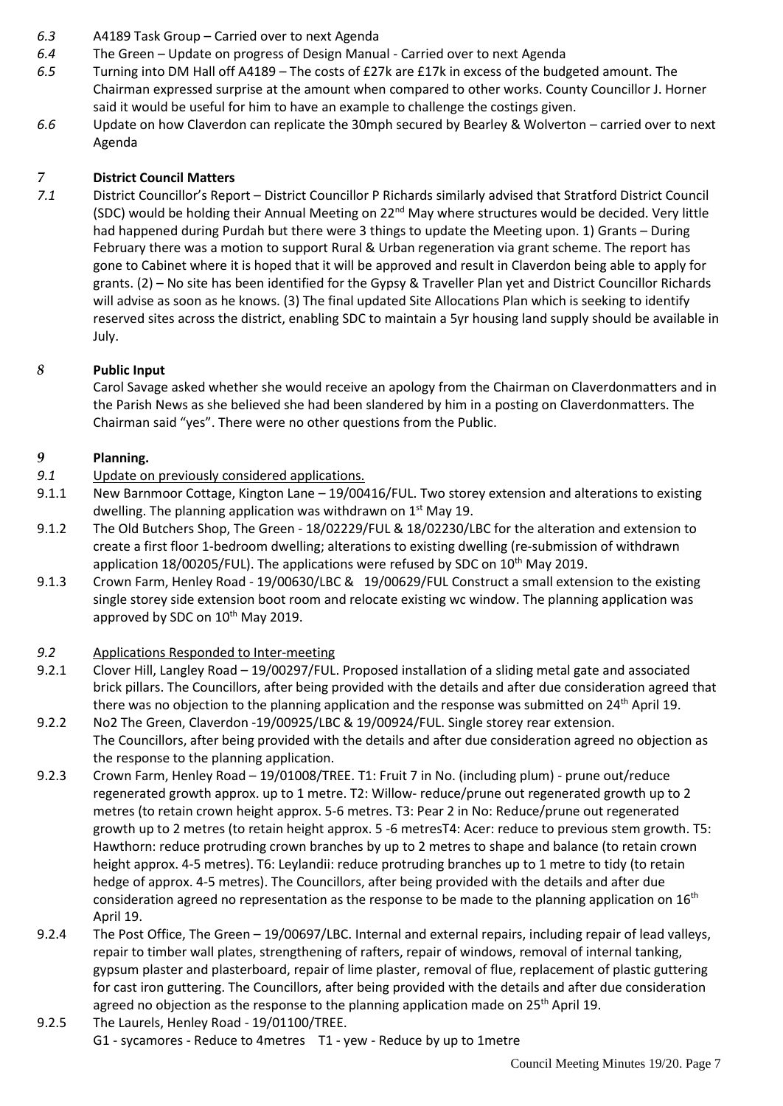- *6.3* A4189 Task Group Carried over to next Agenda
- *6.4* The Green Update on progress of Design Manual Carried over to next Agenda
- *6.5* Turning into DM Hall off A4189 The costs of £27k are £17k in excess of the budgeted amount. The Chairman expressed surprise at the amount when compared to other works. County Councillor J. Horner said it would be useful for him to have an example to challenge the costings given.
- *6.6* Update on how Claverdon can replicate the 30mph secured by Bearley & Wolverton carried over to next Agenda

#### *7* **District Council Matters**

*7.1* District Councillor's Report – District Councillor P Richards similarly advised that Stratford District Council (SDC) would be holding their Annual Meeting on 22nd May where structures would be decided. Very little had happened during Purdah but there were 3 things to update the Meeting upon. 1) Grants – During February there was a motion to support Rural & Urban regeneration via grant scheme. The report has gone to Cabinet where it is hoped that it will be approved and result in Claverdon being able to apply for grants. (2) – No site has been identified for the Gypsy & Traveller Plan yet and District Councillor Richards will advise as soon as he knows. (3) The final updated Site Allocations Plan which is seeking to identify reserved sites across the district, enabling SDC to maintain a 5yr housing land supply should be available in July.

#### *8* **Public Input**

Carol Savage asked whether she would receive an apology from the Chairman on Claverdonmatters and in the Parish News as she believed she had been slandered by him in a posting on Claverdonmatters. The Chairman said "yes". There were no other questions from the Public.

### *9* **Planning.**

- *9.1* Update on previously considered applications.
- 9.1.1 New Barnmoor Cottage, Kington Lane 19/00416/FUL. Two storey extension and alterations to existing dwelling. The planning application was withdrawn on  $1<sup>st</sup>$  May 19.
- 9.1.2 The Old Butchers Shop, The Green 18/02229/FUL & 18/02230/LBC for the alteration and extension to create a first floor 1-bedroom dwelling; alterations to existing dwelling (re-submission of withdrawn application  $18/00205/FUL$ ). The applications were refused by SDC on  $10^{th}$  May 2019.
- 9.1.3 Crown Farm, Henley Road 19/00630/LBC & 19/00629/FUL Construct a small extension to the existing single storey side extension boot room and relocate existing wc window. The planning application was approved by SDC on 10<sup>th</sup> May 2019.

#### *9.2* Applications Responded to Inter-meeting

- 9.2.1 Clover Hill, Langley Road 19/00297/FUL. Proposed installation of a sliding metal gate and associated brick pillars. The Councillors, after being provided with the details and after due consideration agreed that there was no objection to the planning application and the response was submitted on  $24<sup>th</sup>$  April 19.
- 9.2.2 No2 The Green, Claverdon -19/00925/LBC & 19/00924/FUL. Single storey rear extension. The Councillors, after being provided with the details and after due consideration agreed no objection as the response to the planning application.
- 9.2.3 Crown Farm, Henley Road 19/01008/TREE. T1: Fruit 7 in No. (including plum) prune out/reduce regenerated growth approx. up to 1 metre. T2: Willow- reduce/prune out regenerated growth up to 2 metres (to retain crown height approx. 5-6 metres. T3: Pear 2 in No: Reduce/prune out regenerated growth up to 2 metres (to retain height approx. 5 -6 metresT4: Acer: reduce to previous stem growth. T5: Hawthorn: reduce protruding crown branches by up to 2 metres to shape and balance (to retain crown height approx. 4-5 metres). T6: Leylandii: reduce protruding branches up to 1 metre to tidy (to retain hedge of approx. 4-5 metres). The Councillors, after being provided with the details and after due consideration agreed no representation as the response to be made to the planning application on  $16<sup>th</sup>$ April 19.
- 9.2.4 The Post Office, The Green 19/00697/LBC. Internal and external repairs, including repair of lead valleys, repair to timber wall plates, strengthening of rafters, repair of windows, removal of internal tanking, gypsum plaster and plasterboard, repair of lime plaster, removal of flue, replacement of plastic guttering for cast iron guttering. The Councillors, after being provided with the details and after due consideration agreed no objection as the response to the planning application made on 25<sup>th</sup> April 19.
- 9.2.5 The Laurels, Henley Road 19/01100/TREE. G1 - sycamores - Reduce to 4metres T1 - yew - Reduce by up to 1metre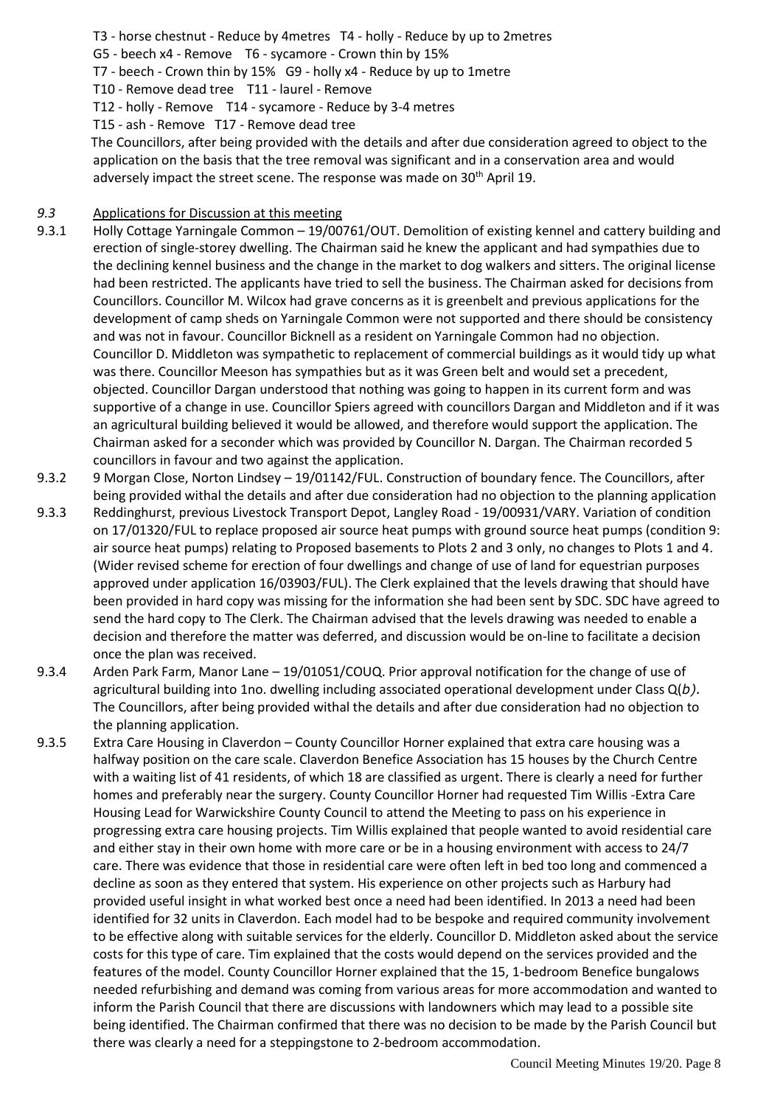- T3 horse chestnut Reduce by 4metres T4 holly Reduce by up to 2metres
- G5 beech x4 Remove T6 sycamore Crown thin by 15%
- T7 beech Crown thin by 15% G9 holly x4 Reduce by up to 1metre
- T10 Remove dead tree T11 laurel Remove
- T12 holly Remove T14 sycamore Reduce by 3-4 metres
- T15 ash Remove T17 Remove dead tree

 The Councillors, after being provided with the details and after due consideration agreed to object to the application on the basis that the tree removal was significant and in a conservation area and would adversely impact the street scene. The response was made on 30<sup>th</sup> April 19.

#### *9.3* Applications for Discussion at this meeting

- 9.3.1 Holly Cottage Yarningale Common 19/00761/OUT. Demolition of existing kennel and cattery building and erection of single-storey dwelling. The Chairman said he knew the applicant and had sympathies due to the declining kennel business and the change in the market to dog walkers and sitters. The original license had been restricted. The applicants have tried to sell the business. The Chairman asked for decisions from Councillors. Councillor M. Wilcox had grave concerns as it is greenbelt and previous applications for the development of camp sheds on Yarningale Common were not supported and there should be consistency and was not in favour. Councillor Bicknell as a resident on Yarningale Common had no objection. Councillor D. Middleton was sympathetic to replacement of commercial buildings as it would tidy up what was there. Councillor Meeson has sympathies but as it was Green belt and would set a precedent, objected. Councillor Dargan understood that nothing was going to happen in its current form and was supportive of a change in use. Councillor Spiers agreed with councillors Dargan and Middleton and if it was an agricultural building believed it would be allowed, and therefore would support the application. The Chairman asked for a seconder which was provided by Councillor N. Dargan. The Chairman recorded 5 councillors in favour and two against the application.
- 9.3.2 9 Morgan Close, Norton Lindsey 19/01142/FUL. Construction of boundary fence. The Councillors, after being provided withal the details and after due consideration had no objection to the planning application
- 9.3.3 Reddinghurst, previous Livestock Transport Depot, Langley Road 19/00931/VARY. Variation of condition on 17/01320/FUL to replace proposed air source heat pumps with ground source heat pumps (condition 9: air source heat pumps) relating to Proposed basements to Plots 2 and 3 only, no changes to Plots 1 and 4. (Wider revised scheme for erection of four dwellings and change of use of land for equestrian purposes approved under application 16/03903/FUL). The Clerk explained that the levels drawing that should have been provided in hard copy was missing for the information she had been sent by SDC. SDC have agreed to send the hard copy to The Clerk. The Chairman advised that the levels drawing was needed to enable a decision and therefore the matter was deferred, and discussion would be on-line to facilitate a decision once the plan was received.
- 9.3.4 Arden Park Farm, Manor Lane 19/01051/COUQ. Prior approval notification for the change of use of agricultural building into 1no. dwelling including associated operational development under Class Q(*b).* The Councillors, after being provided withal the details and after due consideration had no objection to the planning application.
- 9.3.5 Extra Care Housing in Claverdon County Councillor Horner explained that extra care housing was a halfway position on the care scale. Claverdon Benefice Association has 15 houses by the Church Centre with a waiting list of 41 residents, of which 18 are classified as urgent. There is clearly a need for further homes and preferably near the surgery. County Councillor Horner had requested Tim Willis -Extra Care Housing Lead for Warwickshire County Council to attend the Meeting to pass on his experience in progressing extra care housing projects. Tim Willis explained that people wanted to avoid residential care and either stay in their own home with more care or be in a housing environment with access to 24/7 care. There was evidence that those in residential care were often left in bed too long and commenced a decline as soon as they entered that system. His experience on other projects such as Harbury had provided useful insight in what worked best once a need had been identified. In 2013 a need had been identified for 32 units in Claverdon. Each model had to be bespoke and required community involvement to be effective along with suitable services for the elderly. Councillor D. Middleton asked about the service costs for this type of care. Tim explained that the costs would depend on the services provided and the features of the model. County Councillor Horner explained that the 15, 1-bedroom Benefice bungalows needed refurbishing and demand was coming from various areas for more accommodation and wanted to inform the Parish Council that there are discussions with landowners which may lead to a possible site being identified. The Chairman confirmed that there was no decision to be made by the Parish Council but there was clearly a need for a steppingstone to 2-bedroom accommodation.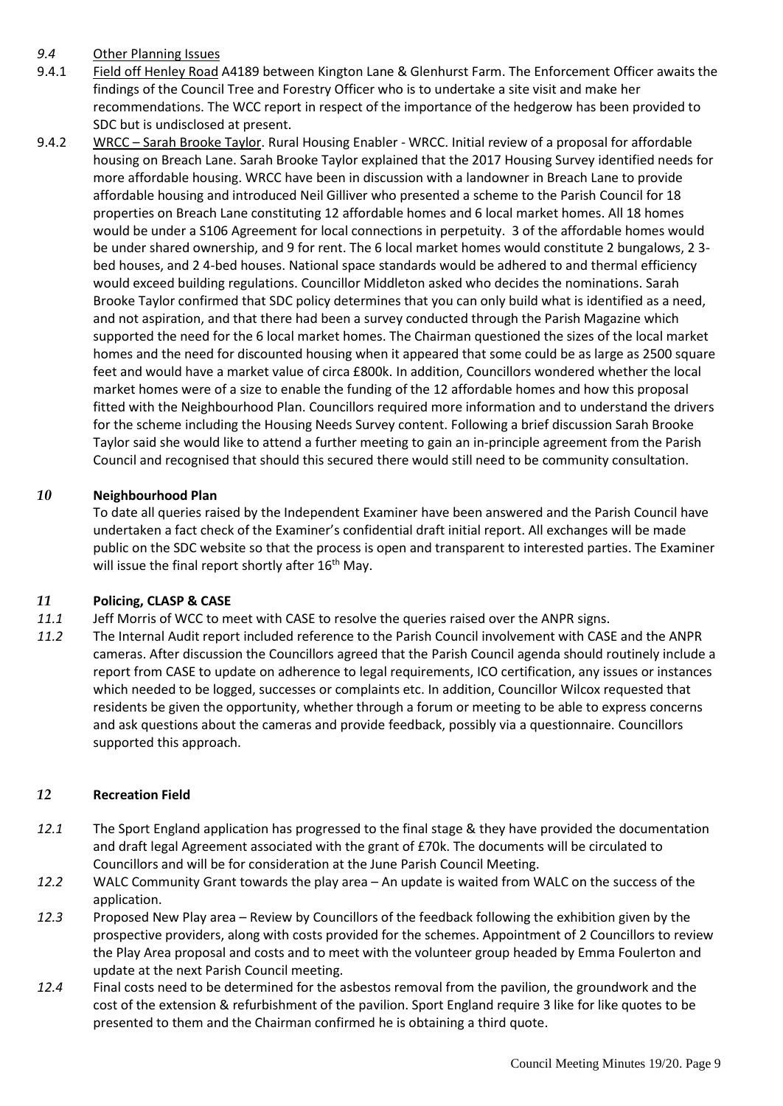#### *9.4* Other Planning Issues

- 9.4.1 Field off Henley Road A4189 between Kington Lane & Glenhurst Farm. The Enforcement Officer awaits the findings of the Council Tree and Forestry Officer who is to undertake a site visit and make her recommendations. The WCC report in respect of the importance of the hedgerow has been provided to SDC but is undisclosed at present.
- 9.4.2 WRCC Sarah Brooke Taylor. Rural Housing Enabler WRCC. Initial review of a proposal for affordable housing on Breach Lane. Sarah Brooke Taylor explained that the 2017 Housing Survey identified needs for more affordable housing. WRCC have been in discussion with a landowner in Breach Lane to provide affordable housing and introduced Neil Gilliver who presented a scheme to the Parish Council for 18 properties on Breach Lane constituting 12 affordable homes and 6 local market homes. All 18 homes would be under a S106 Agreement for local connections in perpetuity. 3 of the affordable homes would be under shared ownership, and 9 for rent. The 6 local market homes would constitute 2 bungalows, 2 3 bed houses, and 2 4-bed houses. National space standards would be adhered to and thermal efficiency would exceed building regulations. Councillor Middleton asked who decides the nominations. Sarah Brooke Taylor confirmed that SDC policy determines that you can only build what is identified as a need, and not aspiration, and that there had been a survey conducted through the Parish Magazine which supported the need for the 6 local market homes. The Chairman questioned the sizes of the local market homes and the need for discounted housing when it appeared that some could be as large as 2500 square feet and would have a market value of circa £800k. In addition, Councillors wondered whether the local market homes were of a size to enable the funding of the 12 affordable homes and how this proposal fitted with the Neighbourhood Plan. Councillors required more information and to understand the drivers for the scheme including the Housing Needs Survey content. Following a brief discussion Sarah Brooke Taylor said she would like to attend a further meeting to gain an in-principle agreement from the Parish Council and recognised that should this secured there would still need to be community consultation.

#### *10* **Neighbourhood Plan**

To date all queries raised by the Independent Examiner have been answered and the Parish Council have undertaken a fact check of the Examiner's confidential draft initial report. All exchanges will be made public on the SDC website so that the process is open and transparent to interested parties. The Examiner will issue the final report shortly after 16<sup>th</sup> May.

#### *11* **Policing, CLASP & CASE**

- *11.1* Jeff Morris of WCC to meet with CASE to resolve the queries raised over the ANPR signs.
- *11.2* The Internal Audit report included reference to the Parish Council involvement with CASE and the ANPR cameras. After discussion the Councillors agreed that the Parish Council agenda should routinely include a report from CASE to update on adherence to legal requirements, ICO certification, any issues or instances which needed to be logged, successes or complaints etc. In addition, Councillor Wilcox requested that residents be given the opportunity, whether through a forum or meeting to be able to express concerns and ask questions about the cameras and provide feedback, possibly via a questionnaire. Councillors supported this approach.

#### *12* **Recreation Field**

- *12.1* The Sport England application has progressed to the final stage & they have provided the documentation and draft legal Agreement associated with the grant of £70k. The documents will be circulated to Councillors and will be for consideration at the June Parish Council Meeting.
- *12.2* WALC Community Grant towards the play area An update is waited from WALC on the success of the application.
- *12.3* Proposed New Play area Review by Councillors of the feedback following the exhibition given by the prospective providers, along with costs provided for the schemes. Appointment of 2 Councillors to review the Play Area proposal and costs and to meet with the volunteer group headed by Emma Foulerton and update at the next Parish Council meeting.
- *12.4* Final costs need to be determined for the asbestos removal from the pavilion, the groundwork and the cost of the extension & refurbishment of the pavilion. Sport England require 3 like for like quotes to be presented to them and the Chairman confirmed he is obtaining a third quote.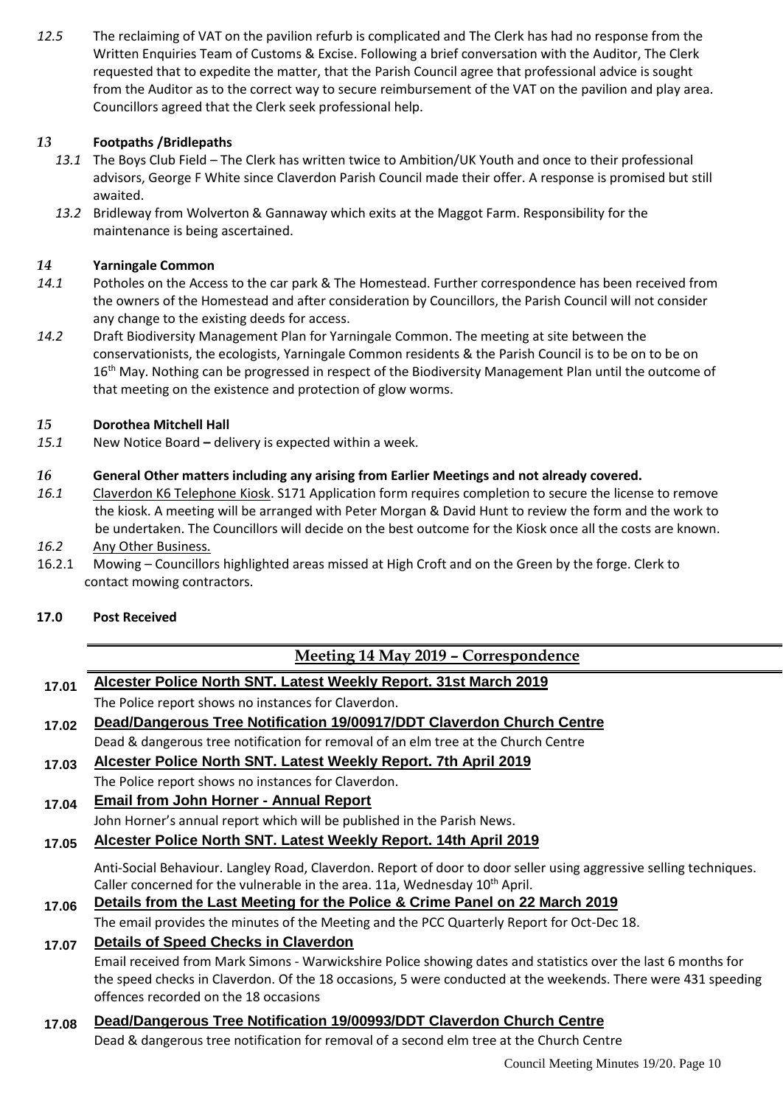*12.5* The reclaiming of VAT on the pavilion refurb is complicated and The Clerk has had no response from the Written Enquiries Team of Customs & Excise. Following a brief conversation with the Auditor, The Clerk requested that to expedite the matter, that the Parish Council agree that professional advice is sought from the Auditor as to the correct way to secure reimbursement of the VAT on the pavilion and play area. Councillors agreed that the Clerk seek professional help.

## *13* **Footpaths /Bridlepaths**

- *13.1* The Boys Club Field The Clerk has written twice to Ambition/UK Youth and once to their professional advisors, George F White since Claverdon Parish Council made their offer. A response is promised but still awaited.
- *13.2* Bridleway from Wolverton & Gannaway which exits at the Maggot Farm. Responsibility for the maintenance is being ascertained.

#### *14* **Yarningale Common**

- *14.1* Potholes on the Access to the car park & The Homestead. Further correspondence has been received from the owners of the Homestead and after consideration by Councillors, the Parish Council will not consider any change to the existing deeds for access.
- *14.2* Draft Biodiversity Management Plan for Yarningale Common. The meeting at site between the conservationists, the ecologists, Yarningale Common residents & the Parish Council is to be on to be on 16<sup>th</sup> May. Nothing can be progressed in respect of the Biodiversity Management Plan until the outcome of that meeting on the existence and protection of glow worms.

#### *15* **Dorothea Mitchell Hall**

*15.1* New Notice Board **–** delivery is expected within a week.

#### *16* **General Other matters including any arising from Earlier Meetings and not already covered.**

- *16.1* Claverdon K6 Telephone Kiosk. S171 Application form requires completion to secure the license to remove the kiosk. A meeting will be arranged with Peter Morgan & David Hunt to review the form and the work to be undertaken. The Councillors will decide on the best outcome for the Kiosk once all the costs are known.
- *16.2* Any Other Business.
- 16.2.1 Mowing Councillors highlighted areas missed at High Croft and on the Green by the forge. Clerk to contact mowing contractors.

#### **17.0 Post Received**

## **Meeting 14 May 2019 – Correspondence**

# **17.01 Alcester Police North SNT. Latest Weekly Report. 31st March 2019**

The Police report shows no instances for Claverdon.

- **17.02 Dead/Dangerous Tree Notification 19/00917/DDT Claverdon Church Centre** Dead & dangerous tree notification for removal of an elm tree at the Church Centre
- **17.03 Alcester Police North SNT. Latest Weekly Report. 7th April 2019** The Police report shows no instances for Claverdon.

# **17.04 Email from John Horner - Annual Report**

John Horner's annual report which will be published in the Parish News.

## **17.05 Alcester Police North SNT. Latest Weekly Report. 14th April 2019**

Anti-Social Behaviour. Langley Road, Claverdon. Report of door to door seller using aggressive selling techniques. Caller concerned for the vulnerable in the area. 11a, Wednesday 10<sup>th</sup> April.

# **17.06 Details from the Last Meeting for the Police & Crime Panel on 22 March 2019**

The email provides the minutes of the Meeting and the PCC Quarterly Report for Oct-Dec 18.

#### **17.07 Details of Speed Checks in Claverdon**

Email received from Mark Simons - Warwickshire Police showing dates and statistics over the last 6 months for the speed checks in Claverdon. Of the 18 occasions, 5 were conducted at the weekends. There were 431 speeding offences recorded on the 18 occasions

#### **17.08 Dead/Dangerous Tree Notification 19/00993/DDT Claverdon Church Centre**

Dead & dangerous tree notification for removal of a second elm tree at the Church Centre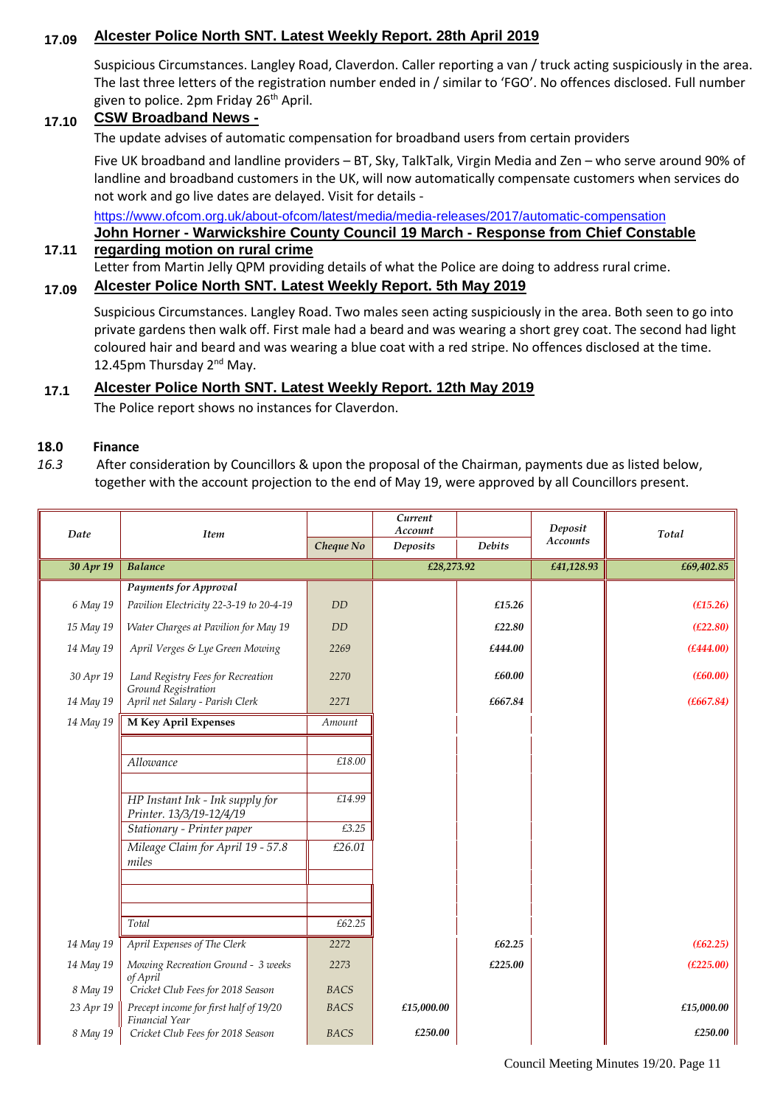### **17.09 Alcester Police North SNT. Latest Weekly Report. 28th April 2019**

Suspicious Circumstances. Langley Road, Claverdon. Caller reporting a van / truck acting suspiciously in the area. The last three letters of the registration number ended in / similar to 'FGO'. No offences disclosed. Full number given to police. 2pm Friday 26<sup>th</sup> April.

#### **17.10 CSW Broadband News -**

The update advises of automatic compensation for broadband users from certain providers

Five UK broadband and landline providers – BT, Sky, TalkTalk, Virgin Media and Zen – who serve around 90% of landline and broadband customers in the UK, will now automatically compensate customers when services do not work and go live dates are delayed. Visit for details -

<https://www.ofcom.org.uk/about-ofcom/latest/media/media-releases/2017/automatic-compensation>

#### **John Horner - Warwickshire County Council 19 March - Response from Chief Constable regarding motion on rural crime**

#### Letter from Martin Jelly QPM providing details of what the Police are doing to address rural crime.

# **17.09 Alcester Police North SNT. Latest Weekly Report. 5th May 2019**

Suspicious Circumstances. Langley Road. Two males seen acting suspiciously in the area. Both seen to go into private gardens then walk off. First male had a beard and was wearing a short grey coat. The second had light coloured hair and beard and was wearing a blue coat with a red stripe. No offences disclosed at the time. 12.45pm Thursday 2<sup>nd</sup> May.

#### **17.1 Alcester Police North SNT. Latest Weekly Report. 12th May 2019**

The Police report shows no instances for Claverdon.

#### **18.0 Finance**

**17.11**

*16.3* After consideration by Councillors & upon the proposal of the Chairman, payments due as listed below, together with the account projection to the end of May 19, were approved by all Councillors present.

| Date      | <b>Item</b>                                                 |             | Current<br>Account |               | Deposit<br><b>Accounts</b> | Total      |
|-----------|-------------------------------------------------------------|-------------|--------------------|---------------|----------------------------|------------|
|           |                                                             | Cheque No   | Deposits           | <b>Debits</b> |                            |            |
| 30 Apr 19 | <b>Balance</b>                                              |             | £28,273.92         |               | £41,128.93                 | £69,402.85 |
|           | <b>Payments for Approval</b>                                |             |                    |               |                            |            |
| 6 May 19  | Pavilion Electricity 22-3-19 to 20-4-19                     | DD          |                    | £15.26        |                            | (E15.26)   |
| 15 May 19 | Water Charges at Pavilion for May 19                        | DD          |                    | £22.80        |                            | (E22.80)   |
| 14 May 19 | April Verges & Lye Green Mowing                             | 2269        |                    | £444.00       |                            | (E444.00)  |
| 30 Apr 19 | Land Registry Fees for Recreation<br>Ground Registration    | 2270        |                    | £60.00        |                            | (E60.00)   |
| 14 May 19 | April net Salary - Parish Clerk                             | 2271        |                    | £667.84       |                            | (E667.84)  |
| 14 May 19 | M Key April Expenses                                        | Amount      |                    |               |                            |            |
|           |                                                             |             |                    |               |                            |            |
|           | Allowance                                                   | £18.00      |                    |               |                            |            |
|           |                                                             |             |                    |               |                            |            |
|           | HP Instant Ink - Ink supply for<br>Printer. 13/3/19-12/4/19 | £14.99      |                    |               |                            |            |
|           | Stationary - Printer paper                                  | £3.25       |                    |               |                            |            |
|           | Mileage Claim for April 19 - 57.8<br>miles                  | £26.01      |                    |               |                            |            |
|           |                                                             |             |                    |               |                            |            |
|           |                                                             |             |                    |               |                            |            |
|           | Total                                                       | £62.25      |                    |               |                            |            |
| 14 May 19 | April Expenses of The Clerk                                 | 2272        |                    | £62.25        |                            | (E62.25)   |
| 14 May 19 | Mowing Recreation Ground - 3 weeks<br>of April              | 2273        |                    | £225.00       |                            | (E225.00)  |
| 8 May 19  | Cricket Club Fees for 2018 Season                           | <b>BACS</b> |                    |               |                            |            |
| 23 Apr 19 | Precept income for first half of 19/20<br>Financial Year    | <b>BACS</b> | £15,000.00         |               |                            | £15,000.00 |
| 8 May 19  | Cricket Club Fees for 2018 Season                           | <b>BACS</b> | £250.00            |               |                            | £250.00    |